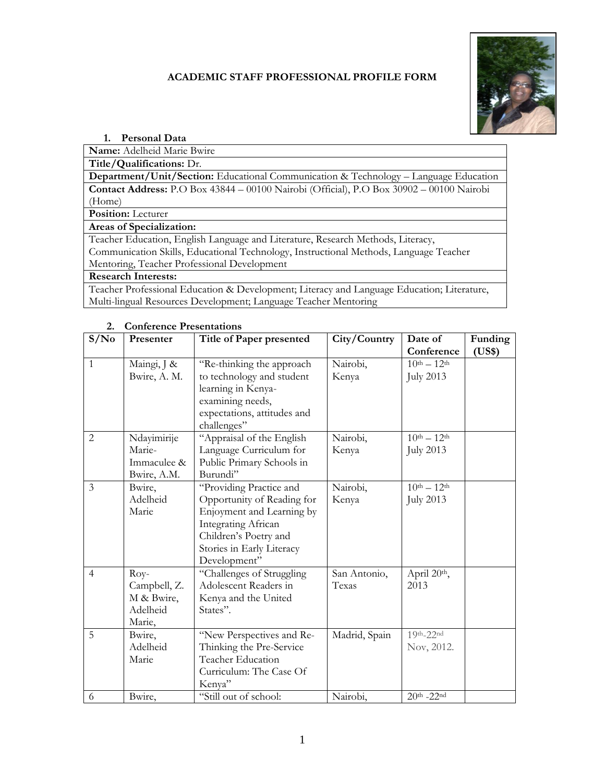## **ACADEMIC STAFF PROFESSIONAL PROFILE FORM**



#### **1. Personal Data**

**Name:** Adelheid Marie Bwire

**Title/Qualifications:** Dr.

**Department/Unit/Section:** Educational Communication & Technology – Language Education **Contact Address:** P.O Box 43844 – 00100 Nairobi (Official), P.O Box 30902 – 00100 Nairobi (Home)

**Position:** Lecturer

**Areas of Specialization:**

Teacher Education, English Language and Literature, Research Methods, Literacy, Communication Skills, Educational Technology, Instructional Methods, Language Teacher Mentoring, Teacher Professional Development

#### **Research Interests:**

Teacher Professional Education & Development; Literacy and Language Education; Literature, Multi-lingual Resources Development; Language Teacher Mentoring

| S/No<br>Presenter |              | Title of Paper presented    | City/Country  | Date of             | Funding |
|-------------------|--------------|-----------------------------|---------------|---------------------|---------|
|                   |              |                             |               | Conference          | (US\$)  |
| $\mathbf{1}$      | Maingi, J &  | "Re-thinking the approach   | Nairobi,      | $10^{th} - 12^{th}$ |         |
|                   | Bwire, A. M. | to technology and student   | Kenya         | <b>July 2013</b>    |         |
|                   |              | learning in Kenya-          |               |                     |         |
|                   |              | examining needs,            |               |                     |         |
|                   |              | expectations, attitudes and |               |                     |         |
|                   |              | challenges"                 |               |                     |         |
| 2                 | Ndayimirije  | "Appraisal of the English   | Nairobi,      | $10^{th} - 12^{th}$ |         |
|                   | Marie-       | Language Curriculum for     | Kenya         | <b>July 2013</b>    |         |
|                   | Immaculee &  | Public Primary Schools in   |               |                     |         |
|                   | Bwire, A.M.  | Burundi"                    |               |                     |         |
| 3                 | Bwire,       | "Providing Practice and     | Nairobi,      | $10th - 12th$       |         |
|                   | Adelheid     | Opportunity of Reading for  | Kenya         | <b>July 2013</b>    |         |
|                   | Marie        | Enjoyment and Learning by   |               |                     |         |
|                   |              | <b>Integrating African</b>  |               |                     |         |
|                   |              | Children's Poetry and       |               |                     |         |
|                   |              | Stories in Early Literacy   |               |                     |         |
|                   |              | Development"                |               |                     |         |
| $\overline{4}$    | $Rov-$       | "Challenges of Struggling   | San Antonio,  | April 20th,         |         |
|                   | Campbell, Z. | Adolescent Readers in       | Texas         | 2013                |         |
|                   | M & Bwire,   | Kenya and the United        |               |                     |         |
|                   | Adelheid     | States".                    |               |                     |         |
|                   | Marie,       |                             |               |                     |         |
| 5                 | Bwire,       | "New Perspectives and Re-   | Madrid, Spain | $19th-22nd$         |         |
|                   | Adelheid     | Thinking the Pre-Service    |               | Nov, 2012.          |         |
|                   | Marie        | Teacher Education           |               |                     |         |
|                   |              | Curriculum: The Case Of     |               |                     |         |
|                   |              | Kenya"                      |               |                     |         |
| 6                 | Bwire,       | "Still out of school:       | Nairobi,      | $20th - 22nd$       |         |

#### **2. Conference Presentations**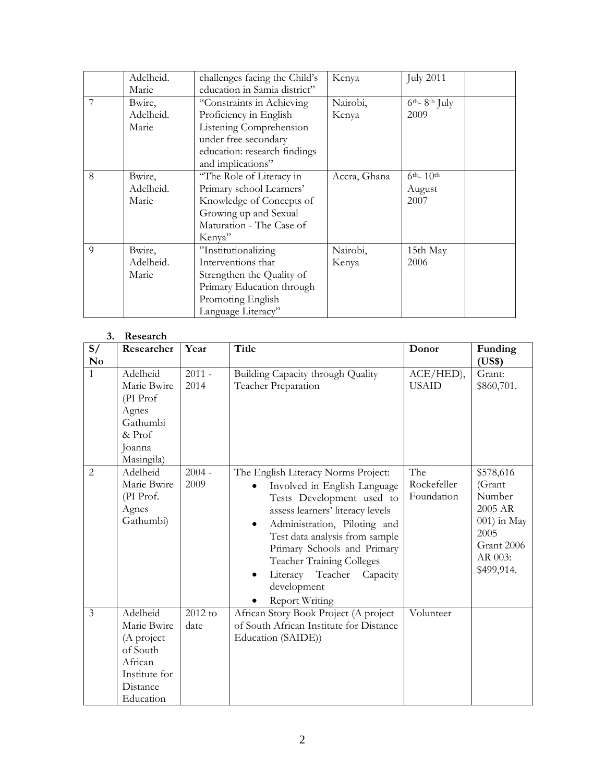|                | Adelheid.<br>Marie           | challenges facing the Child's<br>education in Samia district"                                                                                               | Kenya             | <b>July 2011</b>               |
|----------------|------------------------------|-------------------------------------------------------------------------------------------------------------------------------------------------------------|-------------------|--------------------------------|
|                | Bwire,<br>Adelheid.<br>Marie | "Constraints in Achieving<br>Proficiency in English<br>Listening Comprehension<br>under free secondary<br>education: research findings<br>and implications" | Nairobi,<br>Kenya | $6th - 8th$ July<br>2009       |
| 8              | Bwire,<br>Adelheid.<br>Marie | "The Role of Literacy in<br>Primary school Learners'<br>Knowledge of Concepts of<br>Growing up and Sexual<br>Maturation - The Case of<br>Kenya"             | Accra, Ghana      | $6th - 10th$<br>August<br>2007 |
| $\overline{Q}$ | Bwire,<br>Adelheid.<br>Marie | "Institutionalizing<br>Interventions that<br>Strengthen the Quality of<br>Primary Education through<br>Promoting English<br>Language Literacy"              | Nairobi,<br>Kenya | 15th May<br>2006               |

#### **3. Research**

| S/<br>$\mathbf{N}\mathbf{o}$ | Researcher                                                                                             | Year             | <b>Title</b>                                                                                                                                                                                                                                                                                                                                                                                | Donor                            | Funding<br>(US\$)                                                                                      |
|------------------------------|--------------------------------------------------------------------------------------------------------|------------------|---------------------------------------------------------------------------------------------------------------------------------------------------------------------------------------------------------------------------------------------------------------------------------------------------------------------------------------------------------------------------------------------|----------------------------------|--------------------------------------------------------------------------------------------------------|
| $\mathbf{1}$                 | Adelheid<br>Marie Bwire<br>(PI Prof<br>Agnes<br>Gathumbi<br>& Prof<br>Joanna<br>Masingila)             | $2011 -$<br>2014 | Building Capacity through Quality<br>Teacher Preparation                                                                                                                                                                                                                                                                                                                                    | $ACE/HED$ ),<br><b>USAID</b>     | Grant:<br>\$860,701.                                                                                   |
| $\overline{2}$               | Adelheid<br>Marie Bwire<br>(PI Prof.<br>Agnes<br>Gathumbi)                                             | $2004 -$<br>2009 | The English Literacy Norms Project:<br>Involved in English Language<br>$\bullet$<br>Tests Development used to<br>assess learners' literacy levels<br>Administration, Piloting and<br>$\bullet$<br>Test data analysis from sample<br>Primary Schools and Primary<br><b>Teacher Training Colleges</b><br>Teacher<br>Literacy<br>Capacity<br>$\bullet$<br>development<br><b>Report Writing</b> | The<br>Rockefeller<br>Foundation | \$578,616<br>(Grant<br>Number<br>2005 AR<br>001) in May<br>2005<br>Grant 2006<br>AR 003:<br>\$499,914. |
| $\overline{3}$               | Adelheid<br>Marie Bwire<br>(A project<br>of South<br>African<br>Institute for<br>Distance<br>Education | 2012 to<br>date  | African Story Book Project (A project<br>of South African Institute for Distance<br>Education (SAIDE))                                                                                                                                                                                                                                                                                      | Volunteer                        |                                                                                                        |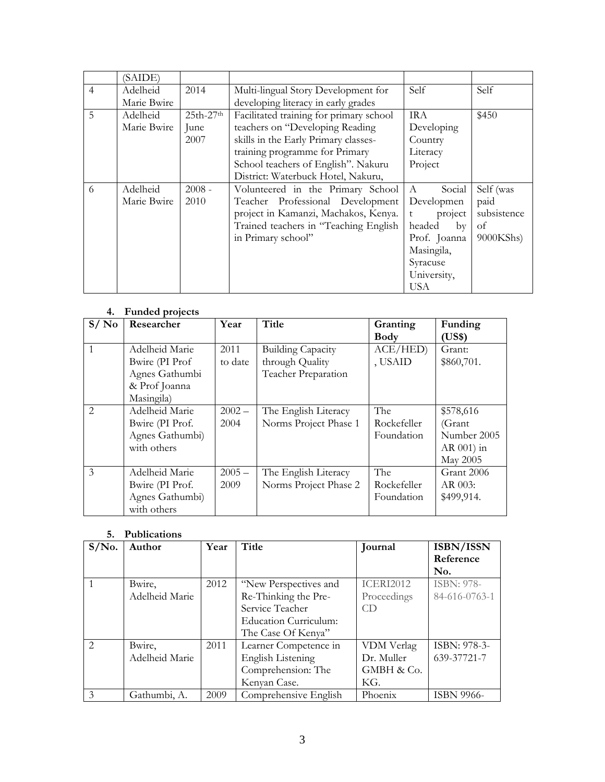|                | (SAIDE)     |             |                                         |              |             |
|----------------|-------------|-------------|-----------------------------------------|--------------|-------------|
| $\overline{4}$ | Adelheid    | 2014        | Multi-lingual Story Development for     | Self         | Self        |
|                | Marie Bwire |             | developing literacy in early grades     |              |             |
| 5              | Adelheid    | $25th-27th$ | Facilitated training for primary school | <b>IRA</b>   | \$450       |
|                | Marie Bwire | June        | teachers on "Developing Reading         | Developing   |             |
|                |             | 2007        | skills in the Early Primary classes-    | Country      |             |
|                |             |             | training programme for Primary          | Literacy     |             |
|                |             |             | School teachers of English". Nakuru     | Project      |             |
|                |             |             | District: Waterbuck Hotel, Nakuru,      |              |             |
| 6              | Adelheid    | $2008 -$    | Volunteered in the Primary School       | A<br>Social  | Self (was   |
|                | Marie Bwire | 2010        | Teacher Professional Development        | Developmen   | paid        |
|                |             |             | project in Kamanzi, Machakos, Kenya.    | project<br>t | subsistence |
|                |             |             | Trained teachers in "Teaching English   | headed<br>by | of          |
|                |             |             | in Primary school"                      | Prof. Joanna | 9000KShs)   |
|                |             |             |                                         | Masingila,   |             |
|                |             |             |                                         | Syracuse     |             |
|                |             |             |                                         | University,  |             |
|                |             |             |                                         | <b>USA</b>   |             |

## **4. Funded projects**

| S/N <sub>0</sub> | Researcher      | Year     | Title                    | Granting    | Funding      |
|------------------|-----------------|----------|--------------------------|-------------|--------------|
|                  |                 |          |                          | <b>Body</b> | (US\$)       |
| $\overline{1}$   | Adelheid Marie  | 2011     | <b>Building Capacity</b> | ACE/HED)    | Grant:       |
|                  | Bwire (PI Prof  | to date  | through Quality          | , USAID     | \$860,701.   |
|                  | Agnes Gathumbi  |          | Teacher Preparation      |             |              |
|                  | & Prof Joanna   |          |                          |             |              |
|                  | Masingila)      |          |                          |             |              |
| $\mathcal{L}$    | Adelheid Marie  | $2002 -$ | The English Literacy     | The         | \$578,616    |
|                  | Bwire (PI Prof. | 2004     | Norms Project Phase 1    | Rockefeller | (Grant       |
|                  | Agnes Gathumbi) |          |                          | Foundation  | Number 2005  |
|                  | with others     |          |                          |             | $AR$ 001) in |
|                  |                 |          |                          |             | May 2005     |
| $\mathcal{Z}$    | Adelheid Marie  | $2005 -$ | The English Literacy     | The         | Grant 2006   |
|                  | Bwire (PI Prof. | 2009     | Norms Project Phase 2    | Rockefeller | AR 003:      |
|                  | Agnes Gathumbi) |          |                          | Foundation  | \$499,914.   |
|                  | with others     |          |                          |             |              |

| 5.            | <b>Publications</b> |      |                              |                  |                   |
|---------------|---------------------|------|------------------------------|------------------|-------------------|
| $S/N0$ .      | Author              | Year | Title                        | Journal          | ISBN/ISSN         |
|               |                     |      |                              |                  | Reference         |
|               |                     |      |                              |                  | No.               |
|               | Bwire,              | 2012 | "New Perspectives and        | <b>ICERI2012</b> | <b>ISBN: 978-</b> |
|               | Adelheid Marie      |      | Re-Thinking the Pre-         | Proceedings      | 84-616-0763-1     |
|               |                     |      | Service Teacher              | CD.              |                   |
|               |                     |      | <b>Education Curriculum:</b> |                  |                   |
|               |                     |      | The Case Of Kenya"           |                  |                   |
| $\mathcal{L}$ | Bwire,              | 2011 | Learner Competence in        | VDM Verlag       | ISBN: 978-3-      |
|               | Adelheid Marie      |      | English Listening            | Dr. Muller       | 639-37721-7       |
|               |                     |      | Comprehension: The           | GMBH & Co.       |                   |
|               |                     |      | Kenyan Case.                 | KG.              |                   |
| 3             | Gathumbi, A.        | 2009 | Comprehensive English        | Phoenix          | <b>ISBN 9966-</b> |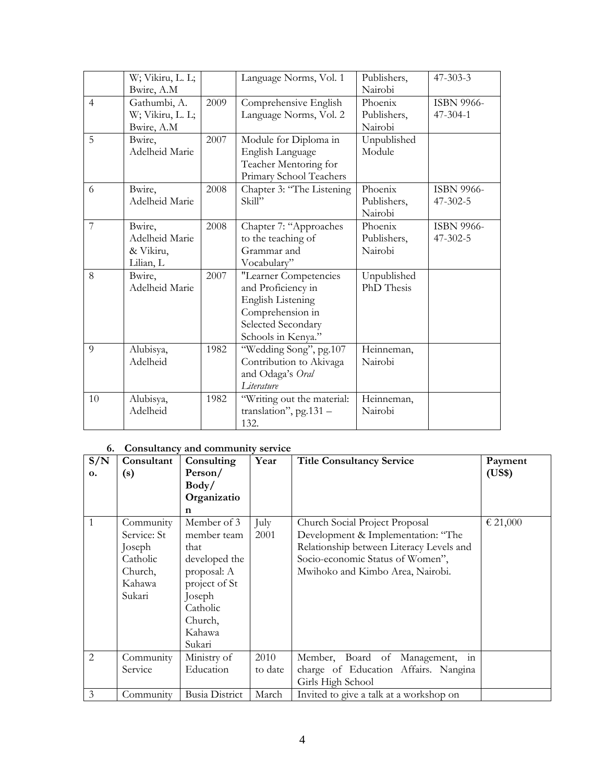|                | W; Vikiru, L. L;<br>Bwire, A.M                     |      | Language Norms, Vol. 1                                                                                                                  | Publishers,<br>Nairobi            | $47 - 303 - 3$                      |
|----------------|----------------------------------------------------|------|-----------------------------------------------------------------------------------------------------------------------------------------|-----------------------------------|-------------------------------------|
| $\overline{4}$ | Gathumbi, A.<br>W; Vikiru, L. L;<br>Bwire, A.M     | 2009 | Comprehensive English<br>Language Norms, Vol. 2                                                                                         | Phoenix<br>Publishers,<br>Nairobi | ISBN 9966-<br>47-304-1              |
| 5              | Bwire,<br>Adelheid Marie                           | 2007 | Module for Diploma in<br>English Language<br>Teacher Mentoring for<br>Primary School Teachers                                           | Unpublished<br>Module             |                                     |
| 6              | Bwire,<br>Adelheid Marie                           | 2008 | Chapter 3: "The Listening<br>Skill"                                                                                                     | Phoenix<br>Publishers,<br>Nairobi | ISBN 9966-<br>$47 - 302 - 5$        |
| $\overline{7}$ | Bwire,<br>Adelheid Marie<br>& Vikiru,<br>Lilian, L | 2008 | Chapter 7: "Approaches<br>to the teaching of<br>Grammar and<br>Vocabulary"                                                              | Phoenix<br>Publishers,<br>Nairobi | <b>ISBN 9966-</b><br>$47 - 302 - 5$ |
| 8              | Bwire,<br>Adelheid Marie                           | 2007 | "Learner Competencies<br>and Proficiency in<br><b>English Listening</b><br>Comprehension in<br>Selected Secondary<br>Schools in Kenya." | Unpublished<br>PhD Thesis         |                                     |
| $\overline{Q}$ | Alubisya,<br>Adelheid                              | 1982 | "Wedding Song", pg.107<br>Contribution to Akivaga<br>and Odaga's Oral<br>Literature                                                     | Heinneman,<br>Nairobi             |                                     |
| 10             | Alubisya,<br>Adelheid                              | 1982 | "Writing out the material:<br>translation", pg. $131 -$<br>132.                                                                         | Heinneman,<br>Nairobi             |                                     |

# **6. Consultancy and community service**

| S/N            | Consultant  | Consulting            | Year    | <b>Title Consultancy Service</b>         | Payment  |
|----------------|-------------|-----------------------|---------|------------------------------------------|----------|
| $\mathbf{o}$ . | (s)         | Person/               |         |                                          | (US\$)   |
|                |             | Body/                 |         |                                          |          |
|                |             | Organizatio           |         |                                          |          |
|                |             | n                     |         |                                          |          |
| 1              | Community   | Member of 3           | July    | Church Social Project Proposal           | € 21,000 |
|                | Service: St | member team           | 2001    | Development & Implementation: "The       |          |
|                | Joseph      | that                  |         | Relationship between Literacy Levels and |          |
|                | Catholic    | developed the         |         | Socio-economic Status of Women",         |          |
|                | Church,     | proposal: A           |         | Mwihoko and Kimbo Area, Nairobi.         |          |
|                | Kahawa      | project of St         |         |                                          |          |
|                | Sukari      | Joseph                |         |                                          |          |
|                |             | Catholic              |         |                                          |          |
|                |             | Church,               |         |                                          |          |
|                |             | Kahawa                |         |                                          |          |
|                |             | Sukari                |         |                                          |          |
| 2              | Community   | Ministry of           | 2010    | Member, Board of<br>Management,<br>1n    |          |
|                | Service     | Education             | to date | charge of Education Affairs. Nangina     |          |
|                |             |                       |         | Girls High School                        |          |
| 3              | Community   | <b>Busia District</b> | March   | Invited to give a talk at a workshop on  |          |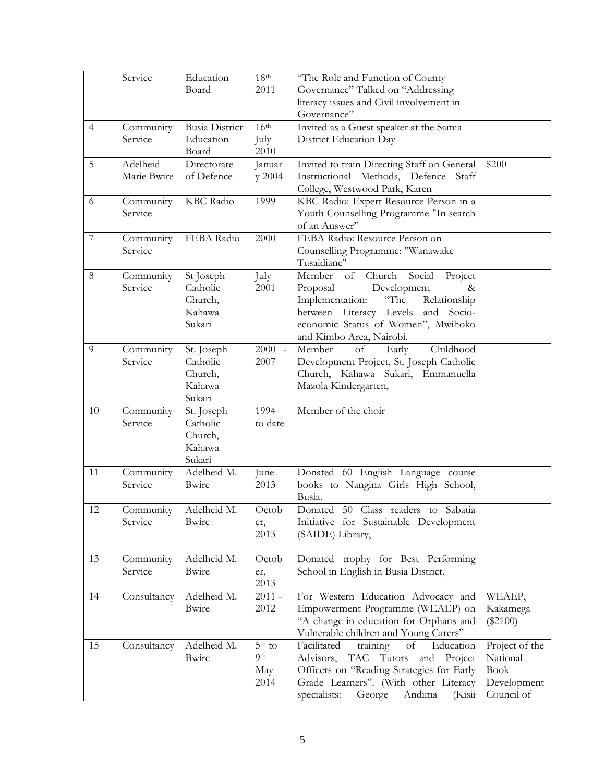|                | Service                 | Education<br>Board                                    | 18 <sup>th</sup><br>2011                   | "The Role and Function of County<br>Governance" Talked on "Addressing<br>literacy issues and Civil involvement in                                                                                                                     |                                                                        |
|----------------|-------------------------|-------------------------------------------------------|--------------------------------------------|---------------------------------------------------------------------------------------------------------------------------------------------------------------------------------------------------------------------------------------|------------------------------------------------------------------------|
|                |                         |                                                       |                                            | Governance"                                                                                                                                                                                                                           |                                                                        |
| $\overline{4}$ | Community<br>Service    | <b>Busia District</b><br>Education<br>Board           | 16 <sup>th</sup><br>July<br>2010           | Invited as a Guest speaker at the Samia<br>District Education Day                                                                                                                                                                     |                                                                        |
| 5              | Adelheid<br>Marie Bwire | Directorate<br>of Defence                             | Januar<br>y 2004                           | Invited to train Directing Staff on General<br>Instructional Methods, Defence Staff<br>College, Westwood Park, Karen                                                                                                                  | \$200                                                                  |
| 6              | Community<br>Service    | <b>KBC</b> Radio                                      | 1999                                       | KBC Radio: Expert Resource Person in a<br>Youth Counselling Programme "In search<br>of an Answer"                                                                                                                                     |                                                                        |
| $\overline{7}$ | Community<br>Service    | FEBA Radio                                            | 2000                                       | FEBA Radio: Resource Person on<br>Counselling Programme: "Wanawake<br>Tusaidiane"                                                                                                                                                     |                                                                        |
| 8              | Community<br>Service    | St Joseph<br>Catholic<br>Church,<br>Kahawa<br>Sukari  | July<br>2001                               | of<br>Member<br>Church<br>Social<br>Project<br>Development<br>Proposal<br>$\&$<br>"The<br>Implementation:<br>Relationship<br>between Literacy Levels and Socio-<br>economic Status of Women", Mwihoko<br>and Kimbo Area, Nairobi.     |                                                                        |
| 9              | Community<br>Service    | St. Joseph<br>Catholic<br>Church,<br>Kahawa<br>Sukari | $2000 -$<br>2007                           | Member<br>Childhood<br>of<br>Early<br>Development Project, St. Joseph Catholic<br>Church, Kahawa Sukari, Emmanuella<br>Mazola Kindergarten,                                                                                           |                                                                        |
| 10             | Community<br>Service    | St. Joseph<br>Catholic<br>Church,<br>Kahawa<br>Sukari | 1994<br>to date                            | Member of the choir                                                                                                                                                                                                                   |                                                                        |
| 11             | Community<br>Service    | Adelheid M.<br>Bwire                                  | June<br>2013                               | Donated 60 English Language course<br>books to Nangina Girls High School,<br>Busia.                                                                                                                                                   |                                                                        |
| 12             | Service                 | Community   Adelheid M.<br>Bwire                      | Octob<br>er,<br>2013                       | Donated 50 Class readers to Sabatia<br>Initiative for Sustainable Development<br>(SAIDE) Library,                                                                                                                                     |                                                                        |
| 13             | Community<br>Service    | Adelheid M.<br>Bwire                                  | Octob<br>er,<br>2013                       | Donated trophy for Best Performing<br>School in English in Busia District,                                                                                                                                                            |                                                                        |
| 14             | Consultancy             | Adelheid M.<br>Bwire                                  | $2011 -$<br>2012                           | For Western Education Advocacy and<br>Empowerment Programme (WEAEP) on<br>"A change in education for Orphans and<br>Vulnerable children and Young Carers"                                                                             | WEAEP,<br>Kakamega<br>$(\$2100)$                                       |
| 15             | Consultancy             | Adelheid M.<br>Bwire                                  | $5th$ to<br>9 <sup>th</sup><br>May<br>2014 | Facilitated<br>of<br>training<br>Education<br>Advisors,<br><b>TAC</b><br>Tutors<br>Project<br>and<br>Officers on "Reading Strategies for Early<br>Grade Learners". (With other Literacy<br>specialists:<br>Andima<br>George<br>(Kisii | Project of the<br>National<br><b>Book</b><br>Development<br>Council of |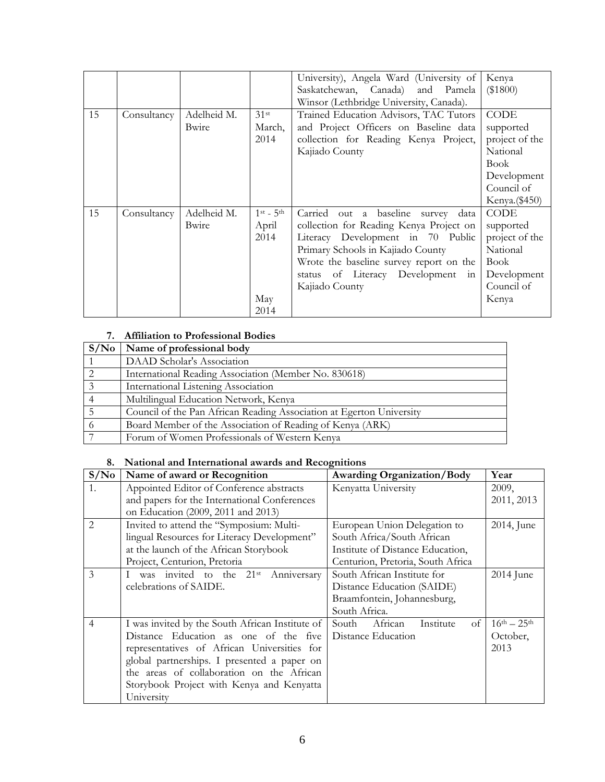|    |             |             |                 | University), Angela Ward (University of<br>Saskatchewan, Canada) and Pamela<br>Winsor (Lethbridge University, Canada). | Kenya<br>(\$1800) |
|----|-------------|-------------|-----------------|------------------------------------------------------------------------------------------------------------------------|-------------------|
| 15 | Consultancy | Adelheid M. | $31$ st         | Trained Education Advisors, TAC Tutors                                                                                 | CODE              |
|    |             | Bwire       | March,          | and Project Officers on Baseline data                                                                                  | supported         |
|    |             |             | 2014            | collection for Reading Kenya Project,                                                                                  | project of the    |
|    |             |             |                 | Kajiado County                                                                                                         | National          |
|    |             |             |                 |                                                                                                                        | <b>Book</b>       |
|    |             |             |                 |                                                                                                                        | Development       |
|    |             |             |                 |                                                                                                                        | Council of        |
|    |             |             |                 |                                                                                                                        | Kenya. (\$450)    |
| 15 | Consultancy | Adelheid M. | $1$ st - $5$ th | Carried<br>out a baseline<br>data<br>survey                                                                            | CODE              |
|    |             | Bwire       | April           | collection for Reading Kenya Project on                                                                                | supported         |
|    |             |             | 2014            | Literacy Development in 70 Public                                                                                      | project of the    |
|    |             |             |                 | Primary Schools in Kajiado County                                                                                      | National          |
|    |             |             |                 | Wrote the baseline survey report on the                                                                                | Book              |
|    |             |             |                 | status of Literacy Development in                                                                                      | Development       |
|    |             |             |                 | Kajiado County                                                                                                         | Council of        |
|    |             |             | May             |                                                                                                                        | Kenya             |
|    |             |             | 2014            |                                                                                                                        |                   |

## **7. Affiliation to Professional Bodies**

| S/N <sub>0</sub> | Name of professional body                                            |
|------------------|----------------------------------------------------------------------|
|                  | DAAD Scholar's Association                                           |
|                  | International Reading Association (Member No. 830618)                |
|                  | International Listening Association                                  |
|                  | Multilingual Education Network, Kenya                                |
|                  | Council of the Pan African Reading Association at Egerton University |
|                  | Board Member of the Association of Reading of Kenya (ARK)            |
|                  | Forum of Women Professionals of Western Kenya                        |

## **8. National and International awards and Recognitions**

| S/No           | Name of award or Recognition                         | <b>Awarding Organization/Body</b>   | Year                |
|----------------|------------------------------------------------------|-------------------------------------|---------------------|
| 1.             | Appointed Editor of Conference abstracts             | Kenyatta University                 | 2009,               |
|                | and papers for the International Conferences         |                                     | 2011, 2013          |
|                | on Education (2009, 2011 and 2013)                   |                                     |                     |
| $\mathfrak{D}$ | Invited to attend the "Symposium: Multi-             | European Union Delegation to        | 2014, June          |
|                | lingual Resources for Literacy Development"          | South Africa/South African          |                     |
|                | at the launch of the African Storybook               | Institute of Distance Education,    |                     |
|                | Project, Centurion, Pretoria                         | Centurion, Pretoria, South Africa   |                     |
| 3              | I was invited to the 21 <sup>st</sup><br>Anniversary | South African Institute for         | 2014 June           |
|                | celebrations of SAIDE.                               | Distance Education (SAIDE)          |                     |
|                |                                                      | Braamfontein, Johannesburg,         |                     |
|                |                                                      | South Africa.                       |                     |
| $\overline{4}$ | I was invited by the South African Institute of      | South<br>African<br>Institute<br>of | $16^{th} - 25^{th}$ |
|                | Distance Education as one of the five                | Distance Education                  | October,            |
|                | representatives of African Universities for          |                                     | 2013                |
|                | global partnerships. I presented a paper on          |                                     |                     |
|                | the areas of collaboration on the African            |                                     |                     |
|                | Storybook Project with Kenya and Kenyatta            |                                     |                     |
|                | University                                           |                                     |                     |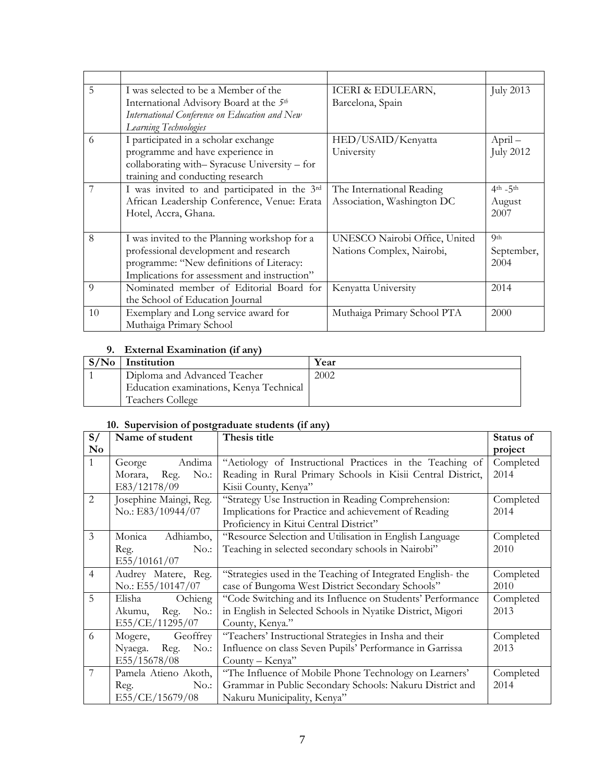| 5        | I was selected to be a Member of the                | ICERI & EDULEARN,             | <b>July 2013</b> |
|----------|-----------------------------------------------------|-------------------------------|------------------|
|          | International Advisory Board at the 5 <sup>th</sup> | Barcelona, Spain              |                  |
|          | International Conference on Education and New       |                               |                  |
|          | Learning Technologies                               |                               |                  |
| 6        | I participated in a scholar exchange                | HED/USAID/Kenyatta            | $April-$         |
|          | programme and have experience in                    | University                    | <b>July 2012</b> |
|          | collaborating with-Syracuse University - for        |                               |                  |
|          | training and conducting research                    |                               |                  |
| 7        | I was invited to and participated in the 3rd        | The International Reading     | $4th - 5th$      |
|          | African Leadership Conference, Venue: Erata         | Association, Washington DC    | August           |
|          | Hotel, Accra, Ghana.                                |                               | 2007             |
|          |                                                     |                               |                  |
| 8        | I was invited to the Planning workshop for a        | UNESCO Nairobi Office, United | <b>Qth</b>       |
|          | professional development and research               | Nations Complex, Nairobi,     | September,       |
|          | programme: "New definitions of Literacy:            |                               | 2004             |
|          | Implications for assessment and instruction"        |                               |                  |
| $\Omega$ | Nominated member of Editorial Board for             | Kenyatta University           | 2014             |
|          | the School of Education Journal                     |                               |                  |
| 10       | Exemplary and Long service award for                | Muthaiga Primary School PTA   | 2000             |
|          | Muthaiga Primary School                             |                               |                  |

# **9. External Examination (if any)**

| S/N <sub>0</sub> | Institution                             | Year |
|------------------|-----------------------------------------|------|
|                  | Diploma and Advanced Teacher            | 2002 |
|                  | Education examinations, Kenya Technical |      |
|                  | <b>Teachers College</b>                 |      |

# **10. Supervision of postgraduate students (if any)**

| S/                     | Name of student            | Thesis title                                                | Status of |
|------------------------|----------------------------|-------------------------------------------------------------|-----------|
| $\mathbf{N}\mathbf{o}$ |                            |                                                             | project   |
| $\mathbf{1}$           | Andima<br>George           | "Aetiology of Instructional Practices in the Teaching of    | Completed |
|                        | $No.$ :<br>Morara,<br>Reg. | Reading in Rural Primary Schools in Kisii Central District, | 2014      |
|                        | E83/12178/09               | Kisii County, Kenya"                                        |           |
| $\overline{2}$         | Josephine Maingi, Reg.     | "Strategy Use Instruction in Reading Comprehension:         | Completed |
|                        | No.: E83/10944/07          | Implications for Practice and achievement of Reading        | 2014      |
|                        |                            | Proficiency in Kitui Central District"                      |           |
| $\overline{3}$         | Monica<br>Adhiambo,        | "Resource Selection and Utilisation in English Language     | Completed |
|                        | No.<br>Reg.                | Teaching in selected secondary schools in Nairobi"          | 2010      |
|                        | E55/10161/07               |                                                             |           |
| $\overline{4}$         | Audrey Matere, Reg.        | "Strategies used in the Teaching of Integrated English-the  | Completed |
|                        | No.: E55/10147/07          | case of Bungoma West District Secondary Schools"            | 2010      |
| 5                      | Elisha<br>Ochieng          | "Code Switching and its Influence on Students' Performance  | Completed |
|                        | Reg.<br>No.:<br>Akumu,     | in English in Selected Schools in Nyatike District, Migori  | 2013      |
|                        | E55/CE/11295/07            | County, Kenya."                                             |           |
| 6                      | Geoffrey<br>Mogere,        | "Teachers' Instructional Strategies in Insha and their      | Completed |
|                        | Reg.<br>No.:<br>Nyaega.    | Influence on class Seven Pupils' Performance in Garrissa    | 2013      |
|                        | E55/15678/08               | County – Kenya"                                             |           |
| $\overline{7}$         | Pamela Atieno Akoth,       | "The Influence of Mobile Phone Technology on Learners'      | Completed |
|                        | $No.$ :<br>Reg.            | Grammar in Public Secondary Schools: Nakuru District and    | 2014      |
|                        | E55/CE/15679/08            | Nakuru Municipality, Kenya"                                 |           |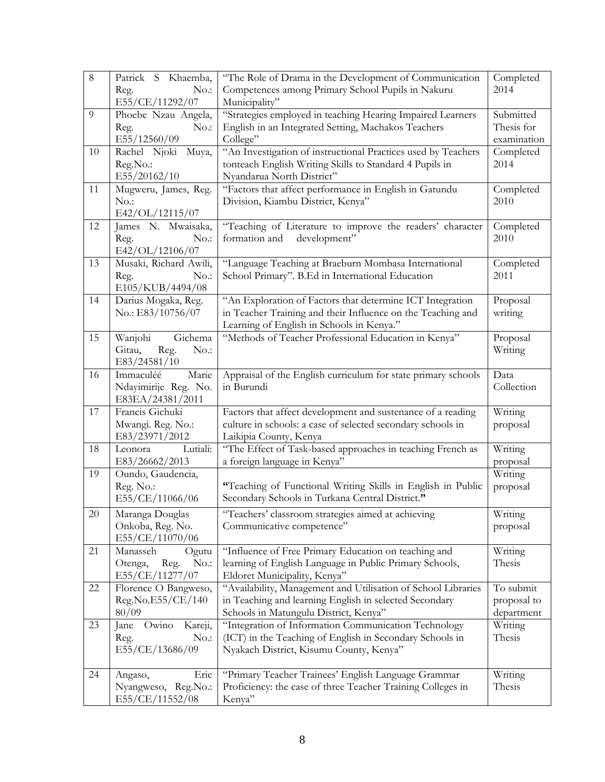| $\overline{8}$ | Patrick S Khaemba,<br>No.:<br>Reg.                              | "The Role of Drama in the Development of Communication<br>Competences among Primary School Pupils in Nakuru                                                           | Completed<br>2014                      |
|----------------|-----------------------------------------------------------------|-----------------------------------------------------------------------------------------------------------------------------------------------------------------------|----------------------------------------|
| 9              | E55/CE/11292/07<br>Phoebe Nzau Angela,<br>No.:<br>Reg.          | Municipality"<br>"Strategies employed in teaching Hearing Impaired Learners<br>English in an Integrated Setting, Machakos Teachers                                    | Submitted<br>Thesis for                |
|                | E55/12560/09                                                    | College"                                                                                                                                                              | examination                            |
| 10             | Rachel Njoki Muya,<br>Reg.No.:<br>E55/20162/10                  | "An Investigation of instructional Practices used by Teachers<br>tonteach English Writing Skills to Standard 4 Pupils in<br>Nyandarua North District"                 | Completed<br>2014                      |
| 11             | Mugweru, James, Reg.<br>No.<br>E42/OL/12115/07                  | "Factors that affect performance in English in Gatundu<br>Division, Kiambu District, Kenya"                                                                           | Completed<br>2010                      |
| 12             | James N. Mwaisaka,<br>Reg.<br>No.:<br>E42/OL/12106/07           | "Teaching of Literature to improve the readers' character<br>development"<br>formation and                                                                            | Completed<br>2010                      |
| 13             | Musaki, Richard Awili,<br>Reg.<br>No.:<br>E105/KUB/4494/08      | "Language Teaching at Braeburn Mombasa International<br>School Primary". B.Ed in International Education                                                              | Completed<br>2011                      |
| 14             | Darius Mogaka, Reg.<br>No.: E83/10756/07                        | "An Exploration of Factors that determine ICT Integration<br>in Teacher Training and their Influence on the Teaching and<br>Learning of English in Schools in Kenya." | Proposal<br>writing                    |
| 15             | Wanjohi<br>Gichema<br>Gitau,<br>Reg.<br>No.:<br>E83/24581/10    | "Methods of Teacher Professional Education in Kenya"                                                                                                                  | Proposal<br>Writing                    |
| 16             | Immaculéé<br>Marie<br>Ndayimirije Reg. No.<br>E83EA/24381/2011  | Appraisal of the English curriculum for state primary schools<br>in Burundi                                                                                           | Data<br>Collection                     |
| 17             | Francis Gichuki<br>Mwangi. Reg. No.:<br>E83/23971/2012          | Factors that affect development and sustenance of a reading<br>culture in schools: a case of selected secondary schools in<br>Laikipia County, Kenya                  | Writing<br>proposal                    |
| 18             | Lutiali:<br>Leonora<br>E83/26662/2013                           | "The Effect of Task-based approaches in teaching French as<br>a foreign language in Kenya"                                                                            | Writing<br>proposal                    |
| 19             | Oundo, Gaudencia,<br>Reg. No.:<br>E55/CE/11066/06               | "Teaching of Functional Writing Skills in English in Public<br>Secondary Schools in Turkana Central District."                                                        | Writing<br>proposal                    |
| 20             | Maranga Douglas<br>Onkoba, Reg. No.<br>E55/CE/11070/06          | "Teachers' classroom strategies aimed at achieving<br>Communicative competence"                                                                                       | Writing<br>proposal                    |
| 21             | Manasseh<br>Ogutu<br>Otenga,<br>Reg.<br>No.:<br>E55/CE/11277/07 | "Influence of Free Primary Education on teaching and<br>learning of English Language in Public Primary Schools,<br>Eldoret Municipality, Kenya"                       | Writing<br>Thesis                      |
| 22             | Florence O Bangweso,<br>Reg.No.E55/CE/140<br>80/09              | "Availability, Management and Utilisation of School Libraries<br>in Teaching and learning English in selected Secondary<br>Schools in Matungulu District, Kenya"      | To submit<br>proposal to<br>department |
| 23             | Kareji,<br>Owino<br>Jane<br>$No.$ :<br>Reg.<br>E55/CE/13686/09  | "Integration of Information Communication Technology<br>(ICT) in the Teaching of English in Secondary Schools in<br>Nyakach District, Kisumu County, Kenya"           | Writing<br>Thesis                      |
| 24             | Eric<br>Angaso,<br>Nyangweso, Reg.No.:<br>E55/CE/11552/08       | "Primary Teacher Trainees' English Language Grammar<br>Proficiency: the case of three Teacher Training Colleges in<br>Kenya"                                          | Writing<br>Thesis                      |